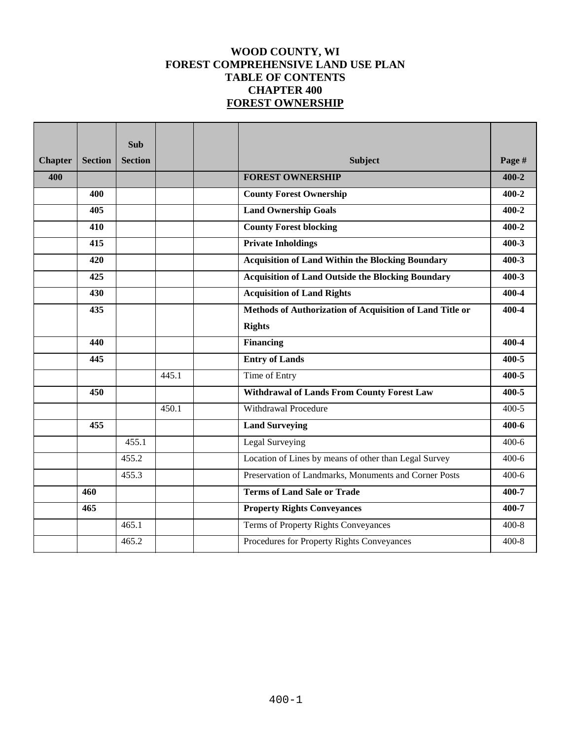# **WOOD COUNTY, WI FOREST COMPREHENSIVE LAND USE PLAN TABLE OF CONTENTS CHAPTER 400 FOREST OWNERSHIP**

|                |                | <b>Sub</b>     |       |                                                          |           |
|----------------|----------------|----------------|-------|----------------------------------------------------------|-----------|
|                |                |                |       |                                                          |           |
| <b>Chapter</b> | <b>Section</b> | <b>Section</b> |       | <b>Subject</b>                                           | Page #    |
| 400            |                |                |       | <b>FOREST OWNERSHIP</b>                                  | $400 - 2$ |
|                | 400            |                |       | <b>County Forest Ownership</b>                           | $400 - 2$ |
|                | 405            |                |       | <b>Land Ownership Goals</b>                              | $400 - 2$ |
|                | 410            |                |       | <b>County Forest blocking</b>                            | $400 - 2$ |
|                | 415            |                |       | <b>Private Inholdings</b>                                | $400 - 3$ |
|                | 420            |                |       | <b>Acquisition of Land Within the Blocking Boundary</b>  | $400-3$   |
|                | 425            |                |       | <b>Acquisition of Land Outside the Blocking Boundary</b> | $400 - 3$ |
|                | 430            |                |       | <b>Acquisition of Land Rights</b>                        | 400-4     |
|                | 435            |                |       | Methods of Authorization of Acquisition of Land Title or | 400-4     |
|                |                |                |       | <b>Rights</b>                                            |           |
|                | 440            |                |       | <b>Financing</b>                                         | 400-4     |
|                | 445            |                |       | <b>Entry of Lands</b>                                    | 400-5     |
|                |                |                | 445.1 | Time of Entry                                            | 400-5     |
|                | 450            |                |       | <b>Withdrawal of Lands From County Forest Law</b>        | 400-5     |
|                |                |                | 450.1 | <b>Withdrawal Procedure</b>                              | $400 - 5$ |
|                | 455            |                |       | <b>Land Surveying</b>                                    | 400-6     |
|                |                | 455.1          |       | Legal Surveying                                          | $400 - 6$ |
|                |                | 455.2          |       | Location of Lines by means of other than Legal Survey    | $400 - 6$ |
|                |                | 455.3          |       | Preservation of Landmarks, Monuments and Corner Posts    | $400 - 6$ |
|                | 460            |                |       | <b>Terms of Land Sale or Trade</b>                       | 400-7     |
|                | 465            |                |       | <b>Property Rights Conveyances</b>                       | 400-7     |
|                |                | 465.1          |       | Terms of Property Rights Conveyances                     | $400 - 8$ |
|                |                | 465.2          |       | Procedures for Property Rights Conveyances               | $400 - 8$ |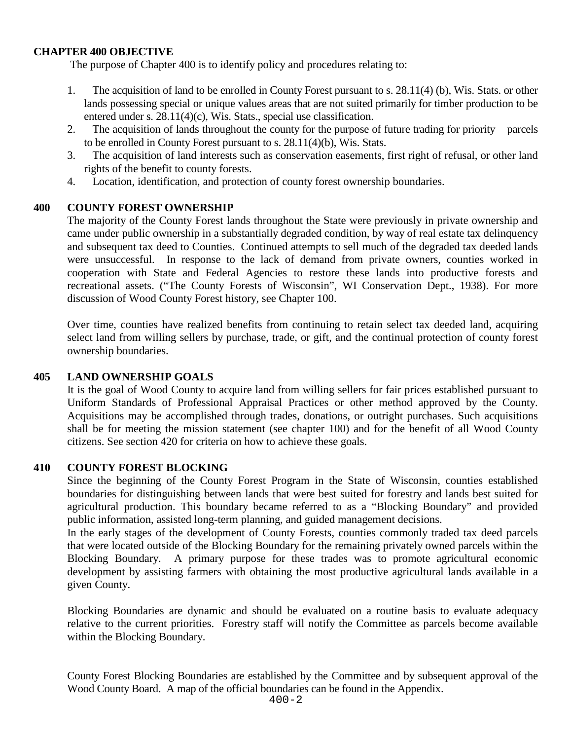## **CHAPTER 400 OBJECTIVE**

The purpose of Chapter 400 is to identify policy and procedures relating to:

- 1. The acquisition of land to be enrolled in County Forest pursuant to s. 28.11(4) (b), Wis. Stats. or other lands possessing special or unique values areas that are not suited primarily for timber production to be entered under s. 28.11(4)(c), Wis. Stats., special use classification.
- 2. The acquisition of lands throughout the county for the purpose of future trading for priority parcels to be enrolled in County Forest pursuant to s. 28.11(4)(b), Wis. Stats.
- 3. The acquisition of land interests such as conservation easements, first right of refusal, or other land rights of the benefit to county forests.
- 4. Location, identification, and protection of county forest ownership boundaries.

## **400 COUNTY FOREST OWNERSHIP**

The majority of the County Forest lands throughout the State were previously in private ownership and came under public ownership in a substantially degraded condition, by way of real estate tax delinquency and subsequent tax deed to Counties. Continued attempts to sell much of the degraded tax deeded lands were unsuccessful. In response to the lack of demand from private owners, counties worked in cooperation with State and Federal Agencies to restore these lands into productive forests and recreational assets. ("The County Forests of Wisconsin", WI Conservation Dept., 1938). For more discussion of Wood County Forest history, see Chapter 100.

Over time, counties have realized benefits from continuing to retain select tax deeded land, acquiring select land from willing sellers by purchase, trade, or gift, and the continual protection of county forest ownership boundaries.

### **405 LAND OWNERSHIP GOALS**

It is the goal of Wood County to acquire land from willing sellers for fair prices established pursuant to Uniform Standards of Professional Appraisal Practices or other method approved by the County. Acquisitions may be accomplished through trades, donations, or outright purchases. Such acquisitions shall be for meeting the mission statement (see chapter 100) and for the benefit of all Wood County citizens. See section 420 for criteria on how to achieve these goals.

### **410 COUNTY FOREST BLOCKING**

Since the beginning of the County Forest Program in the State of Wisconsin, counties established boundaries for distinguishing between lands that were best suited for forestry and lands best suited for agricultural production. This boundary became referred to as a "Blocking Boundary" and provided public information, assisted long-term planning, and guided management decisions.

In the early stages of the development of County Forests, counties commonly traded tax deed parcels that were located outside of the Blocking Boundary for the remaining privately owned parcels within the Blocking Boundary. A primary purpose for these trades was to promote agricultural economic development by assisting farmers with obtaining the most productive agricultural lands available in a given County.

Blocking Boundaries are dynamic and should be evaluated on a routine basis to evaluate adequacy relative to the current priorities. Forestry staff will notify the Committee as parcels become available within the Blocking Boundary.

County Forest Blocking Boundaries are established by the Committee and by subsequent approval of the Wood County Board. A map of the official boundaries can be found in the Appendix.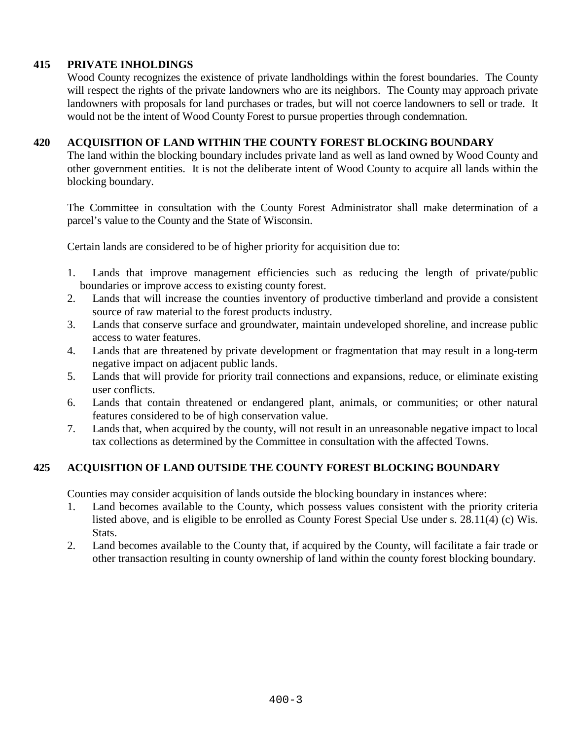# **415 PRIVATE INHOLDINGS**

Wood County recognizes the existence of private landholdings within the forest boundaries. The County will respect the rights of the private landowners who are its neighbors. The County may approach private landowners with proposals for land purchases or trades, but will not coerce landowners to sell or trade. It would not be the intent of Wood County Forest to pursue properties through condemnation.

## **420 ACQUISITION OF LAND WITHIN THE COUNTY FOREST BLOCKING BOUNDARY**

The land within the blocking boundary includes private land as well as land owned by Wood County and other government entities. It is not the deliberate intent of Wood County to acquire all lands within the blocking boundary.

The Committee in consultation with the County Forest Administrator shall make determination of a parcel's value to the County and the State of Wisconsin.

Certain lands are considered to be of higher priority for acquisition due to:

- 1. Lands that improve management efficiencies such as reducing the length of private/public boundaries or improve access to existing county forest.
- 2. Lands that will increase the counties inventory of productive timberland and provide a consistent source of raw material to the forest products industry.
- 3. Lands that conserve surface and groundwater, maintain undeveloped shoreline, and increase public access to water features.
- 4. Lands that are threatened by private development or fragmentation that may result in a long-term negative impact on adjacent public lands.
- 5. Lands that will provide for priority trail connections and expansions, reduce, or eliminate existing user conflicts.
- 6. Lands that contain threatened or endangered plant, animals, or communities; or other natural features considered to be of high conservation value.
- 7. Lands that, when acquired by the county, will not result in an unreasonable negative impact to local tax collections as determined by the Committee in consultation with the affected Towns.

## **425 ACQUISITION OF LAND OUTSIDE THE COUNTY FOREST BLOCKING BOUNDARY**

Counties may consider acquisition of lands outside the blocking boundary in instances where:

- 1. Land becomes available to the County, which possess values consistent with the priority criteria listed above, and is eligible to be enrolled as County Forest Special Use under s. 28.11(4) (c) Wis. Stats.
- 2. Land becomes available to the County that, if acquired by the County, will facilitate a fair trade or other transaction resulting in county ownership of land within the county forest blocking boundary.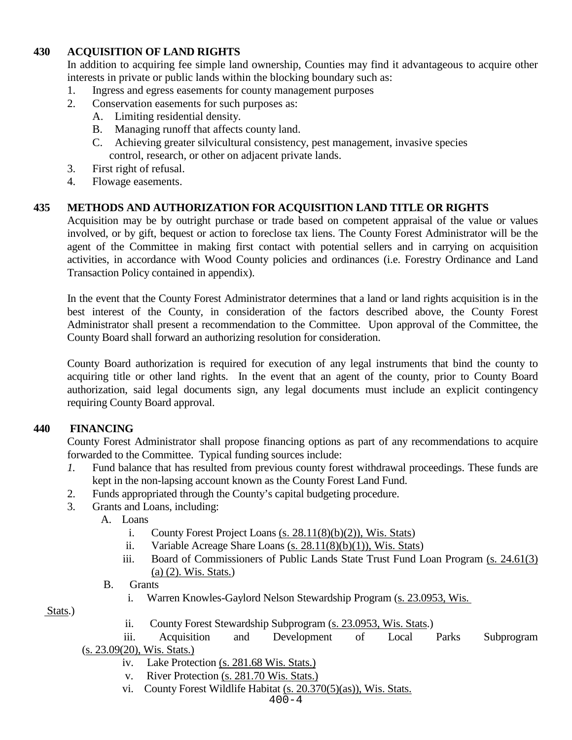# **430 ACQUISITION OF LAND RIGHTS**

In addition to acquiring fee simple land ownership, Counties may find it advantageous to acquire other interests in private or public lands within the blocking boundary such as:

- 1. Ingress and egress easements for county management purposes
- 2. Conservation easements for such purposes as:
	- A. Limiting residential density.
	- B. Managing runoff that affects county land.
	- C. Achieving greater silvicultural consistency, pest management, invasive species control, research, or other on adjacent private lands.
- 3. First right of refusal.
- 4. Flowage easements.

## **435 METHODS AND AUTHORIZATION FOR ACQUISITION LAND TITLE OR RIGHTS**

Acquisition may be by outright purchase or trade based on competent appraisal of the value or values involved, or by gift, bequest or action to foreclose tax liens. The County Forest Administrator will be the agent of the Committee in making first contact with potential sellers and in carrying on acquisition activities, in accordance with Wood County policies and ordinances (i.e. Forestry Ordinance and Land Transaction Policy contained in appendix).

In the event that the County Forest Administrator determines that a land or land rights acquisition is in the best interest of the County, in consideration of the factors described above, the County Forest Administrator shall present a recommendation to the Committee. Upon approval of the Committee, the County Board shall forward an authorizing resolution for consideration.

County Board authorization is required for execution of any legal instruments that bind the county to acquiring title or other land rights. In the event that an agent of the county, prior to County Board authorization, said legal documents sign, any legal documents must include an explicit contingency requiring County Board approval.

### **440 FINANCING**

County Forest Administrator shall propose financing options as part of any recommendations to acquire forwarded to the Committee. Typical funding sources include:

- *1.* Fund balance that has resulted from previous county forest withdrawal proceedings. These funds are kept in the non-lapsing account known as the County Forest Land Fund.
- 2. Funds appropriated through the County's capital budgeting procedure.
- 3. Grants and Loans, including:
	- A. Loans
		- i. County Forest Project Loans [\(s. 28.11\(8\)\(b\)\(2\)\), Wis. Stats\)](https://docs.legis.wisconsin.gov/statutes/statutes/28/11/8/b/2)
		- ii. Variable Acreage Share Loans [\(s. 28.11\(8\)\(b\)\(1\)\), Wis. Stats\)](https://docs.legis.wisconsin.gov/statutes/statutes/28/11/8/b/1)
		- iii. Board of Commissioners of Public Lands State Trust Fund Loan Program [\(s. 24.61\(3\)](http://docs.legis.wisconsin.gov/statutes/statutes/24/II/61/3/a/2)  (a) (2). [Wis. Stats.\)](http://docs.legis.wisconsin.gov/statutes/statutes/24/II/61/3/a/2)
		- B. Grants
			- i. Warren Knowles-Gaylord Nelson Stewardship Program [\(s. 23.0953, Wis.](http://docs.legis.wisconsin.gov/statutes/statutes/23/0953)

Stats.)

- ii. County Forest Stewardship Subprogram [\(s. 23.0953, Wis. Stats.](http://docs.legis.wisconsin.gov/statutes/statutes/23/0953))
- iii. Acquisition and Development of Local Parks Subprogram [\(s. 23.09\(20\), Wis. Stats.\)](http://docs.legis.wisconsin.gov/statutes/statutes/23/09/20)
	- iv. Lake Protection [\(s. 281.68 Wis. Stats.\)](http://docs.legis.wisconsin.gov/statutes/statutes/281/V/68)
	- v. River Protection [\(s. 281.70 Wis. Stats.\)](http://docs.legis.wisconsin.gov/statutes/statutes/281/V/70)
	- vi. County Forest Wildlife Habitat [\(s. 20.370\(5\)\(as\)\), Wis. Stats.](http://docs.legis.wisconsin.gov/statutes/statutes/20/IV/370/5/as)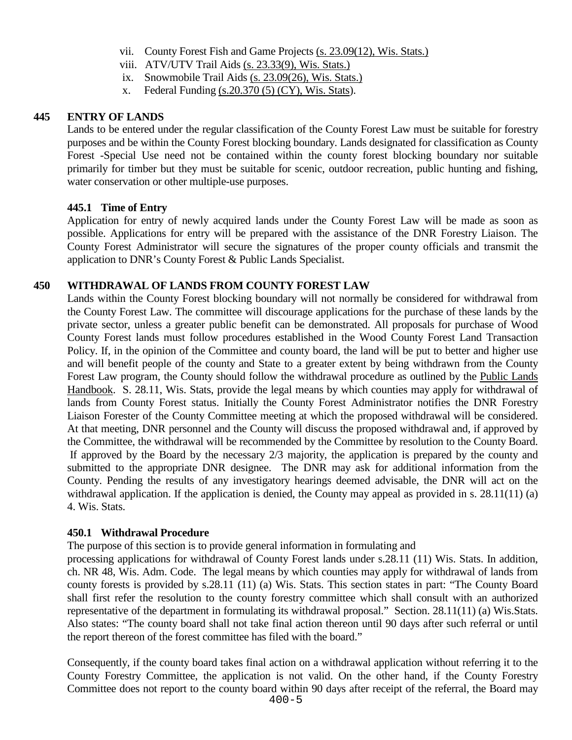- vii. County Forest Fish and Game Projects [\(s. 23.09\(12\), Wis. Stats.\)](http://docs.legis.wisconsin.gov/statutes/statutes/23/09/12)
- viii. ATV/UTV Trail Aids [\(s. 23.33\(9\), Wis. Stats.\)](http://docs.legis.wisconsin.gov/statutes/statutes/23/33/9)
- ix. Snowmobile Trail Aids [\(s. 23.09\(26\), Wis. Stats.\)](http://docs.legis.wisconsin.gov/statutes/statutes/23/09/26)
- x. Federal Funding  $(s.20.370(5)$  (CY), Wis. Stats).

#### **445 ENTRY OF LANDS**

Lands to be entered under the regular classification of the County Forest Law must be suitable for forestry purposes and be within the County Forest blocking boundary. Lands designated for classification as County Forest -Special Use need not be contained within the county forest blocking boundary nor suitable primarily for timber but they must be suitable for scenic, outdoor recreation, public hunting and fishing, water conservation or other multiple-use purposes.

#### **445.1 Time of Entry**

Application for entry of newly acquired lands under the County Forest Law will be made as soon as possible. Applications for entry will be prepared with the assistance of the DNR Forestry Liaison. The County Forest Administrator will secure the signatures of the proper county officials and transmit the application to DNR's County Forest & Public Lands Specialist.

#### **450 WITHDRAWAL OF LANDS FROM COUNTY FOREST LAW**

Lands within the County Forest blocking boundary will not normally be considered for withdrawal from the County Forest Law. The committee will discourage applications for the purchase of these lands by the private sector, unless a greater public benefit can be demonstrated. All proposals for purchase of Wood County Forest lands must follow procedures established in the Wood County Forest Land Transaction Policy. If, in the opinion of the Committee and county board, the land will be put to better and higher use and will benefit people of the county and State to a greater extent by being withdrawn from the County Forest Law program, the County should follow the withdrawal procedure as outlined by the [Public Lands](https://dnr.wi.gov/topic/ForestManagement/documents/24605.pdf)  [Handbook.](https://dnr.wi.gov/topic/ForestManagement/documents/24605.pdf) S. 28.11, Wis. Stats, provide the legal means by which counties may apply for withdrawal of lands from County Forest status. Initially the County Forest Administrator notifies the DNR Forestry Liaison Forester of the County Committee meeting at which the proposed withdrawal will be considered. At that meeting, DNR personnel and the County will discuss the proposed withdrawal and, if approved by the Committee, the withdrawal will be recommended by the Committee by resolution to the County Board. If approved by the Board by the necessary 2/3 majority, the application is prepared by the county and submitted to the appropriate DNR designee. The DNR may ask for additional information from the County. Pending the results of any investigatory hearings deemed advisable, the DNR will act on the withdrawal application. If the application is denied, the County may appeal as provided in s. 28.11(11) (a) 4. Wis. Stats.

#### **450.1 Withdrawal Procedure**

The purpose of this section is to provide general information in formulating and

processing applications for withdrawal of County Forest lands under s.28.11 (11) Wis. Stats. In addition, ch. NR 48, Wis. Adm. Code. The legal means by which counties may apply for withdrawal of lands from county forests is provided by s.28.11 (11) (a) Wis. Stats. This section states in part: "The County Board shall first refer the resolution to the county forestry committee which shall consult with an authorized representative of the department in formulating its withdrawal proposal." Section. 28.11(11) (a) Wis.Stats. Also states: "The county board shall not take final action thereon until 90 days after such referral or until the report thereon of the forest committee has filed with the board."

Consequently, if the county board takes final action on a withdrawal application without referring it to the County Forestry Committee, the application is not valid. On the other hand, if the County Forestry Committee does not report to the county board within 90 days after receipt of the referral, the Board may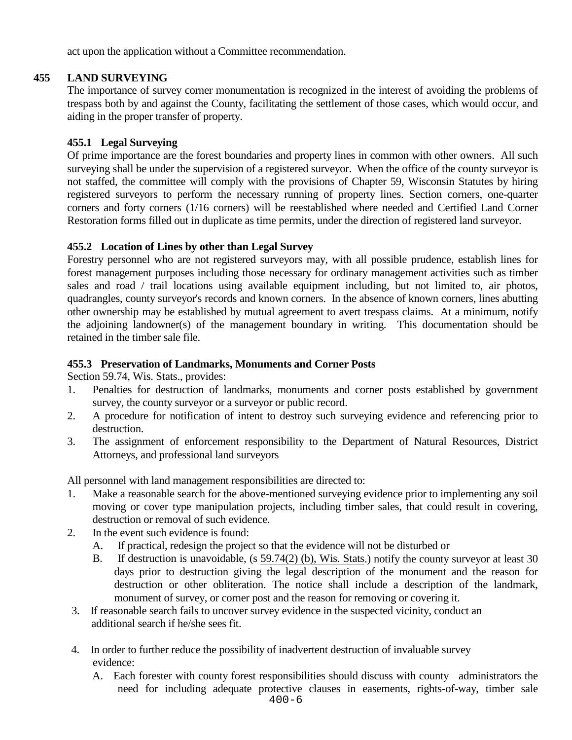act upon the application without a Committee recommendation.

# **455 LAND SURVEYING**

The importance of survey corner monumentation is recognized in the interest of avoiding the problems of trespass both by and against the County, facilitating the settlement of those cases, which would occur, and aiding in the proper transfer of property.

## **455.1 Legal Surveying**

Of prime importance are the forest boundaries and property lines in common with other owners. All such surveying shall be under the supervision of a registered surveyor. When the office of the county surveyor is not staffed, the committee will comply with the provisions of Chapter 59, Wisconsin Statutes by hiring registered surveyors to perform the necessary running of property lines. Section corners, one-quarter corners and forty corners (1/16 corners) will be reestablished where needed and Certified Land Corner Restoration forms filled out in duplicate as time permits, under the direction of registered land surveyor.

## **455.2 Location of Lines by other than Legal Survey**

Forestry personnel who are not registered surveyors may, with all possible prudence, establish lines for forest management purposes including those necessary for ordinary management activities such as timber sales and road / trail locations using available equipment including, but not limited to, air photos, quadrangles, county surveyor's records and known corners. In the absence of known corners, lines abutting other ownership may be established by mutual agreement to avert trespass claims. At a minimum, notify the adjoining landowner(s) of the management boundary in writing. This documentation should be retained in the timber sale file.

## **455.3 Preservation of Landmarks, Monuments and Corner Posts**

Section 59.74, Wis. Stats., provides:

- 1. Penalties for destruction of landmarks, monuments and corner posts established by government survey, the county surveyor or a surveyor or public record.
- 2. A procedure for notification of intent to destroy such surveying evidence and referencing prior to destruction.
- 3. The assignment of enforcement responsibility to the Department of Natural Resources, District Attorneys, and professional land surveyors

All personnel with land management responsibilities are directed to:

- 1. Make a reasonable search for the above-mentioned surveying evidence prior to implementing any soil moving or cover type manipulation projects, including timber sales, that could result in covering, destruction or removal of such evidence.
- 2. In the event such evidence is found:
	- A. If practical, redesign the project so that the evidence will not be disturbed or
	- B. If destruction is unavoidable, (s [59.74\(2\) \(b\), Wis. Stats.](https://docs.legis.wisconsin.gov/statutes/statutes/59/VII/74/2/b/1)) notify the county surveyor at least 30 days prior to destruction giving the legal description of the monument and the reason for destruction or other obliteration. The notice shall include a description of the landmark, monument of survey, or corner post and the reason for removing or covering it.
- 3. If reasonable search fails to uncover survey evidence in the suspected vicinity, conduct an additional search if he/she sees fit.
- 4. In order to further reduce the possibility of inadvertent destruction of invaluable survey evidence:
	- A. Each forester with county forest responsibilities should discuss with county administrators the need for including adequate protective clauses in easements, rights-of-way, timber sale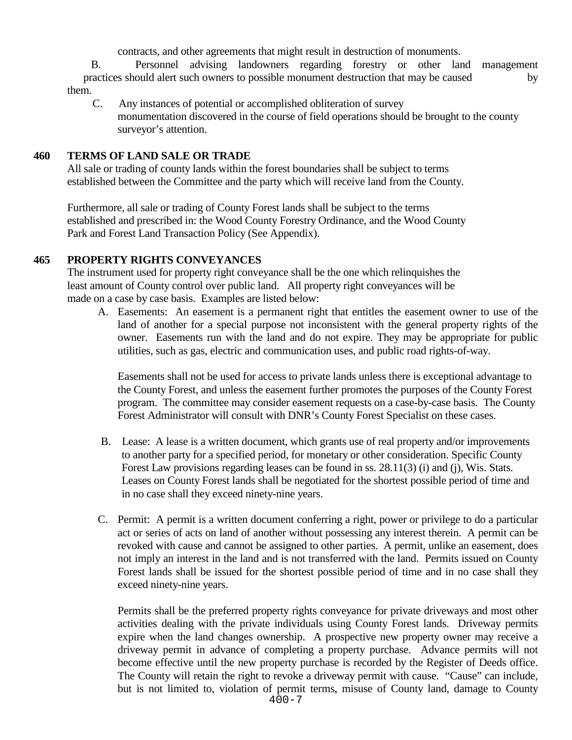contracts, and other agreements that might result in destruction of monuments.

B. Personnel advising landowners regarding forestry or other land management practices should alert such owners to possible monument destruction that may be caused by them.

C. Any instances of potential or accomplished obliteration of survey monumentation discovered in the course of field operations should be brought to the county surveyor's attention.

#### **460 TERMS OF LAND SALE OR TRADE**

All sale or trading of county lands within the forest boundaries shall be subject to terms established between the Committee and the party which will receive land from the County.

Furthermore, all sale or trading of County Forest lands shall be subject to the terms established and prescribed in: the Wood County Forestry Ordinance, and the Wood County Park and Forest Land Transaction Policy (See Appendix).

### **465 PROPERTY RIGHTS CONVEYANCES**

The instrument used for property right conveyance shall be the one which relinquishes the least amount of County control over public land. All property right conveyances will be made on a case by case basis. Examples are listed below:

 A. Easements: An easement is a permanent right that entitles the easement owner to use of the land of another for a special purpose not inconsistent with the general property rights of the owner. Easements run with the land and do not expire. They may be appropriate for public utilities, such as gas, electric and communication uses, and public road rights-of-way.

Easements shall not be used for access to private lands unless there is exceptional advantage to the County Forest, and unless the easement further promotes the purposes of the County Forest program. The committee may consider easement requests on a case-by-case basis. The County Forest Administrator will consult with DNR's County Forest Specialist on these cases.

- B. Lease: A lease is a written document, which grants use of real property and/or improvements to another party for a specified period, for monetary or other consideration. Specific County Forest Law provisions regarding leases can be found in ss. 28.11(3) (i) and (j), Wis. Stats. Leases on County Forest lands shall be negotiated for the shortest possible period of time and in no case shall they exceed ninety-nine years.
- C. Permit: A permit is a written document conferring a right, power or privilege to do a particular act or series of acts on land of another without possessing any interest therein. A permit can be revoked with cause and cannot be assigned to other parties. A permit, unlike an easement, does not imply an interest in the land and is not transferred with the land. Permits issued on County Forest lands shall be issued for the shortest possible period of time and in no case shall they exceed ninety-nine years.

Permits shall be the preferred property rights conveyance for private driveways and most other activities dealing with the private individuals using County Forest lands. Driveway permits expire when the land changes ownership. A prospective new property owner may receive a driveway permit in advance of completing a property purchase. Advance permits will not become effective until the new property purchase is recorded by the Register of Deeds office. The County will retain the right to revoke a driveway permit with cause. "Cause" can include, but is not limited to, violation of permit terms, misuse of County land, damage to County